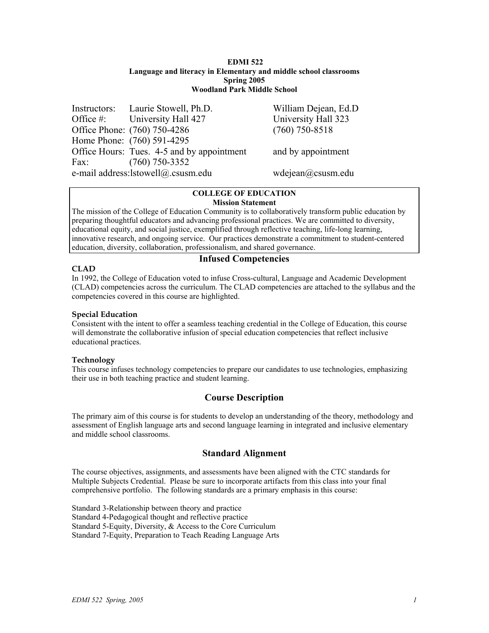#### **EDMI 522 Language and literacy in Elementary and middle school classrooms Spring 2005 Woodland Park Middle School**

|      | Instructors: Laurie Stowell, Ph.D.         | William Dejean, Ed.D |
|------|--------------------------------------------|----------------------|
|      | Office #: University Hall 427              | University Hall 323  |
|      | Office Phone: (760) 750-4286               | $(760)$ 750-8518     |
|      | Home Phone: (760) 591-4295                 |                      |
|      | Office Hours: Tues. 4-5 and by appointment | and by appointment   |
| Fax: | $(760)$ 750-3352                           |                      |
|      | e-mail address:lstowell@.csusm.edu         | wdejean@csusm.edu    |

#### **COLLEGE OF EDUCATION Mission Statement**

The mission of the College of Education Community is to collaboratively transform public education by preparing thoughtful educators and advancing professional practices. We are committed to diversity, educational equity, and social justice, exemplified through reflective teaching, life-long learning, innovative research, and ongoing service. Our practices demonstrate a commitment to student-centered education, diversity, collaboration, professionalism, and shared governance.

# **CLAD**

# **Infused Competencies**

In 1992, the College of Education voted to infuse Cross-cultural, Language and Academic Development (CLAD) competencies across the curriculum. The CLAD competencies are attached to the syllabus and the competencies covered in this course are highlighted.

## **Special Education**

Consistent with the intent to offer a seamless teaching credential in the College of Education, this course will demonstrate the collaborative infusion of special education competencies that reflect inclusive educational practices.

## **Technology**

This course infuses technology competencies to prepare our candidates to use technologies, emphasizing their use in both teaching practice and student learning.

# **Course Description**

The primary aim of this course is for students to develop an understanding of the theory, methodology and assessment of English language arts and second language learning in integrated and inclusive elementary and middle school classrooms.

# **Standard Alignment**

The course objectives, assignments, and assessments have been aligned with the CTC standards for Multiple Subjects Credential. Please be sure to incorporate artifacts from this class into your final comprehensive portfolio. The following standards are a primary emphasis in this course:

Standard 3-Relationship between theory and practice Standard 4-Pedagogical thought and reflective practice Standard 5-Equity, Diversity, & Access to the Core Curriculum Standard 7-Equity, Preparation to Teach Reading Language Arts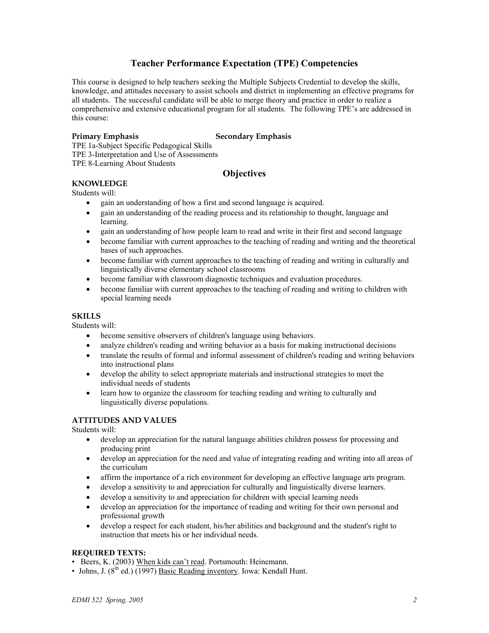# **Teacher Performance Expectation (TPE) Competencies**

This course is designed to help teachers seeking the Multiple Subjects Credential to develop the skills, knowledge, and attitudes necessary to assist schools and district in implementing an effective programs for all students. The successful candidate will be able to merge theory and practice in order to realize a comprehensive and extensive educational program for all students. The following TPE's are addressed in this course:

### **Primary Emphasis Secondary Emphasis**

TPE 1a-Subject Specific Pedagogical Skills TPE 3-Interpretation and Use of Assessments TPE 8-Learning About Students

## **Objectives**

#### **KNOWLEDGE**

Students will:

- gain an understanding of how a first and second language is acquired.
- gain an understanding of the reading process and its relationship to thought, language and learning.
- gain an understanding of how people learn to read and write in their first and second language
- become familiar with current approaches to the teaching of reading and writing and the theoretical bases of such approaches.
- become familiar with current approaches to the teaching of reading and writing in culturally and linguistically diverse elementary school classrooms
- become familiar with classroom diagnostic techniques and evaluation procedures.
- become familiar with current approaches to the teaching of reading and writing to children with special learning needs

### **SKILLS**

Students will:

- become sensitive observers of children's language using behaviors.
- analyze children's reading and writing behavior as a basis for making instructional decisions
- translate the results of formal and informal assessment of children's reading and writing behaviors into instructional plans
- develop the ability to select appropriate materials and instructional strategies to meet the individual needs of students
- learn how to organize the classroom for teaching reading and writing to culturally and linguistically diverse populations.

#### **ATTITUDES AND VALUES**

Students will:

- develop an appreciation for the natural language abilities children possess for processing and producing print
- develop an appreciation for the need and value of integrating reading and writing into all areas of the curriculum
- affirm the importance of a rich environment for developing an effective language arts program.
- develop a sensitivity to and appreciation for culturally and linguistically diverse learners.
- develop a sensitivity to and appreciation for children with special learning needs
- develop an appreciation for the importance of reading and writing for their own personal and professional growth
- develop a respect for each student, his/her abilities and background and the student's right to instruction that meets his or her individual needs.

#### **REQUIRED TEXTS:**

- Beers, K. (2003) When kids can't read. Portsmouth: Heinemann.
- Johns, J.  $(8^{th}$  ed.)  $(1997)$  Basic Reading inventory. Iowa: Kendall Hunt.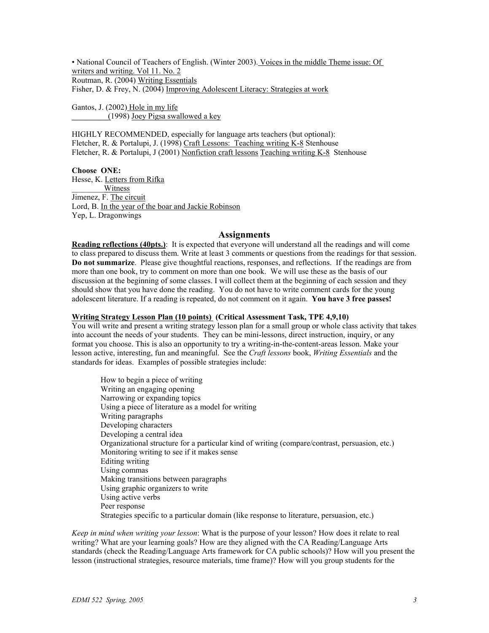• National Council of Teachers of English. (Winter 2003). Voices in the middle Theme issue: Of writers and writing. Vol 11. No. 2 Routman, R. (2004) Writing Essentials Fisher, D. & Frey, N. (2004) Improving Adolescent Literacy: Strategies at work

Gantos, J. (2002) Hole in my life \_\_\_\_\_\_\_\_\_(1998) Joey Pigsa swallowed a key

HIGHLY RECOMMENDED, especially for language arts teachers (but optional): Fletcher, R. & Portalupi, J. (1998) Craft Lessons: Teaching writing K-8 Stenhouse Fletcher, R. & Portalupi, J (2001) Nonfiction craft lessons Teaching writing K-8 Stenhouse

**Choose ONE:**  Hesse, K. Letters from Rifka Witness Jimenez, F. The circuit Lord, B. In the year of the boar and Jackie Robinson Yep, L. Dragonwings

#### **Assignments**

**Reading reflections (40pts.)**: It is expected that everyone will understand all the readings and will come to class prepared to discuss them. Write at least 3 comments or questions from the readings for that session. **Do not summarize**. Please give thoughtful reactions, responses, and reflections. If the readings are from more than one book, try to comment on more than one book. We will use these as the basis of our discussion at the beginning of some classes. I will collect them at the beginning of each session and they should show that you have done the reading. You do not have to write comment cards for the young adolescent literature. If a reading is repeated, do not comment on it again. **You have 3 free passes!** 

#### **Writing Strategy Lesson Plan (10 points) (Critical Assessment Task, TPE 4,9,10)**

You will write and present a writing strategy lesson plan for a small group or whole class activity that takes into account the needs of your students. They can be mini-lessons, direct instruction, inquiry, or any format you choose. This is also an opportunity to try a writing-in-the-content-areas lesson. Make your lesson active, interesting, fun and meaningful. See the *Craft lessons* book, *Writing Essentials* and the standards for ideas. Examples of possible strategies include:

How to begin a piece of writing Writing an engaging opening Narrowing or expanding topics Using a piece of literature as a model for writing Writing paragraphs Developing characters Developing a central idea Organizational structure for a particular kind of writing (compare/contrast, persuasion, etc.) Monitoring writing to see if it makes sense Editing writing Using commas Making transitions between paragraphs Using graphic organizers to write Using active verbs Peer response Strategies specific to a particular domain (like response to literature, persuasion, etc.)

*Keep in mind when writing your lesson*: What is the purpose of your lesson? How does it relate to real writing? What are your learning goals? How are they aligned with the CA Reading/Language Arts standards (check the Reading/Language Arts framework for CA public schools)? How will you present the lesson (instructional strategies, resource materials, time frame)? How will you group students for the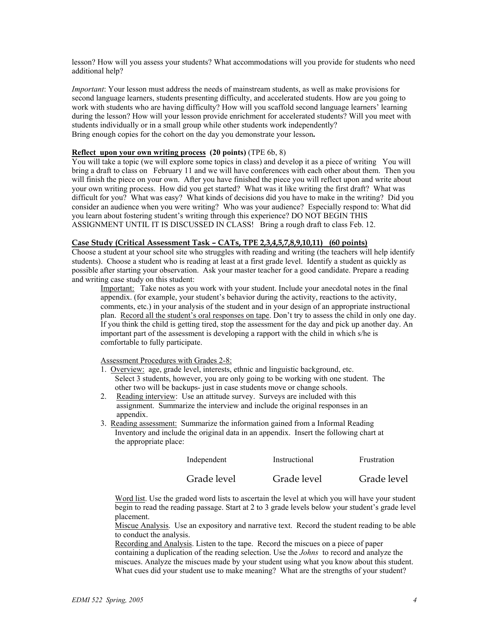lesson? How will you assess your students? What accommodations will you provide for students who need additional help?

*Important*: Your lesson must address the needs of mainstream students, as well as make provisions for second language learners, students presenting difficulty, and accelerated students. How are you going to work with students who are having difficulty? How will you scaffold second language learners' learning during the lesson? How will your lesson provide enrichment for accelerated students? Will you meet with students individually or in a small group while other students work independently? Bring enough copies for the cohort on the day you demonstrate your lesson**.** 

#### **Reflect upon your own writing process (20 points)** (TPE 6b, 8)

You will take a topic (we will explore some topics in class) and develop it as a piece of writing You will bring a draft to class on February 11 and we will have conferences with each other about them. Then you will finish the piece on your own. After you have finished the piece you will reflect upon and write about your own writing process. How did you get started? What was it like writing the first draft? What was difficult for you? What was easy? What kinds of decisions did you have to make in the writing? Did you consider an audience when you were writing? Who was your audience? Especially respond to: What did you learn about fostering student's writing through this experience? DO NOT BEGIN THIS ASSIGNMENT UNTIL IT IS DISCUSSED IN CLASS! Bring a rough draft to class Feb. 12.

#### **Case Study (Critical Assessment Task – CATs, TPE 2,3,4,5,7,8,9,10,11) (60 points)**

Choose a student at your school site who struggles with reading and writing (the teachers will help identify students). Choose a student who is reading at least at a first grade level. Identify a student as quickly as possible after starting your observation. Ask your master teacher for a good candidate. Prepare a reading and writing case study on this student:

Important: Take notes as you work with your student. Include your anecdotal notes in the final appendix. (for example, your student's behavior during the activity, reactions to the activity, comments, etc.) in your analysis of the student and in your design of an appropriate instructional plan. Record all the student's oral responses on tape. Don't try to assess the child in only one day. If you think the child is getting tired, stop the assessment for the day and pick up another day. An important part of the assessment is developing a rapport with the child in which s/he is comfortable to fully participate.

Assessment Procedures with Grades 2-8:

- 1. Overview: age, grade level, interests, ethnic and linguistic background, etc. Select 3 students, however, you are only going to be working with one student. The other two will be backups- just in case students move or change schools.
- 2. Reading interview: Use an attitude survey. Surveys are included with this assignment. Summarize the interview and include the original responses in an appendix.
- 3. Reading assessment: Summarize the information gained from a Informal Reading Inventory and include the original data in an appendix. Insert the following chart at the appropriate place:

| Independent | Instructional | Frustration |
|-------------|---------------|-------------|
| Grade level | Grade level   | Grade level |

Word list. Use the graded word lists to ascertain the level at which you will have your student begin to read the reading passage. Start at 2 to 3 grade levels below your student's grade level placement.

Miscue Analysis. Use an expository and narrative text. Record the student reading to be able to conduct the analysis.

Recording and Analysis. Listen to the tape. Record the miscues on a piece of paper containing a duplication of the reading selection. Use the *Johns* to record and analyze the miscues. Analyze the miscues made by your student using what you know about this student. What cues did your student use to make meaning? What are the strengths of your student?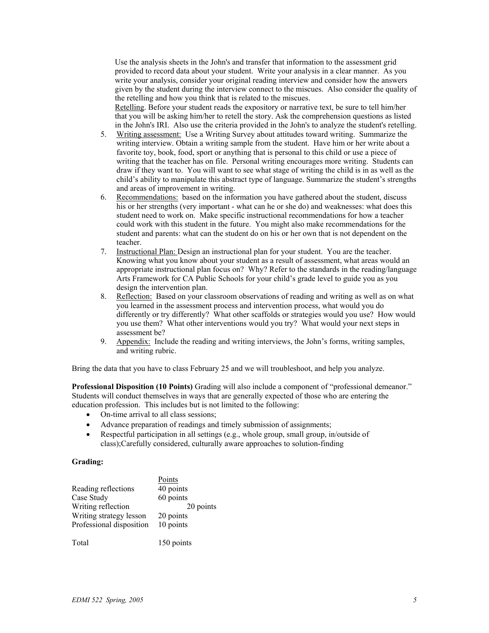Use the analysis sheets in the John's and transfer that information to the assessment grid provided to record data about your student. Write your analysis in a clear manner. As you write your analysis, consider your original reading interview and consider how the answers given by the student during the interview connect to the miscues. Also consider the quality of the retelling and how you think that is related to the miscues.

Retelling. Before your student reads the expository or narrative text, be sure to tell him/her that you will be asking him/her to retell the story. Ask the comprehension questions as listed in the John's IRI. Also use the criteria provided in the John's to analyze the student's retelling.

- 5. Writing assessment: Use a Writing Survey about attitudes toward writing. Summarize the writing interview. Obtain a writing sample from the student. Have him or her write about a favorite toy, book, food, sport or anything that is personal to this child or use a piece of writing that the teacher has on file. Personal writing encourages more writing. Students can draw if they want to. You will want to see what stage of writing the child is in as well as the child's ability to manipulate this abstract type of language. Summarize the student's strengths and areas of improvement in writing.
- 6. Recommendations: based on the information you have gathered about the student, discuss his or her strengths (very important - what can he or she do) and weaknesses: what does this student need to work on. Make specific instructional recommendations for how a teacher could work with this student in the future. You might also make recommendations for the student and parents: what can the student do on his or her own that is not dependent on the teacher.
- 7. Instructional Plan: Design an instructional plan for your student. You are the teacher. Knowing what you know about your student as a result of assessment, what areas would an appropriate instructional plan focus on? Why? Refer to the standards in the reading/language Arts Framework for CA Public Schools for your child's grade level to guide you as you design the intervention plan.
- 8. Reflection: Based on your classroom observations of reading and writing as well as on what you learned in the assessment process and intervention process, what would you do differently or try differently? What other scaffolds or strategies would you use? How would you use them? What other interventions would you try? What would your next steps in assessment be?
- 9. Appendix: Include the reading and writing interviews, the John's forms, writing samples, and writing rubric.

Bring the data that you have to class February 25 and we will troubleshoot, and help you analyze.

**Professional Disposition (10 Points)** Grading will also include a component of "professional demeanor." Students will conduct themselves in ways that are generally expected of those who are entering the education profession. This includes but is not limited to the following:

- On-time arrival to all class sessions:
- 
- Advance preparation of readings and timely submission of assignments;<br>• Respectful participation in all settings (e.g. whole group small group in • Respectful participation in all settings (e.g., whole group, small group, in/outside of class);Carefully considered, culturally aware approaches to solution-finding

#### **Grading:**

|                          | Points    |
|--------------------------|-----------|
| Reading reflections      | 40 points |
| Case Study               | 60 points |
| Writing reflection       | 20 points |
| Writing strategy lesson  | 20 points |
| Professional disposition | 10 points |
|                          |           |

Total 150 points